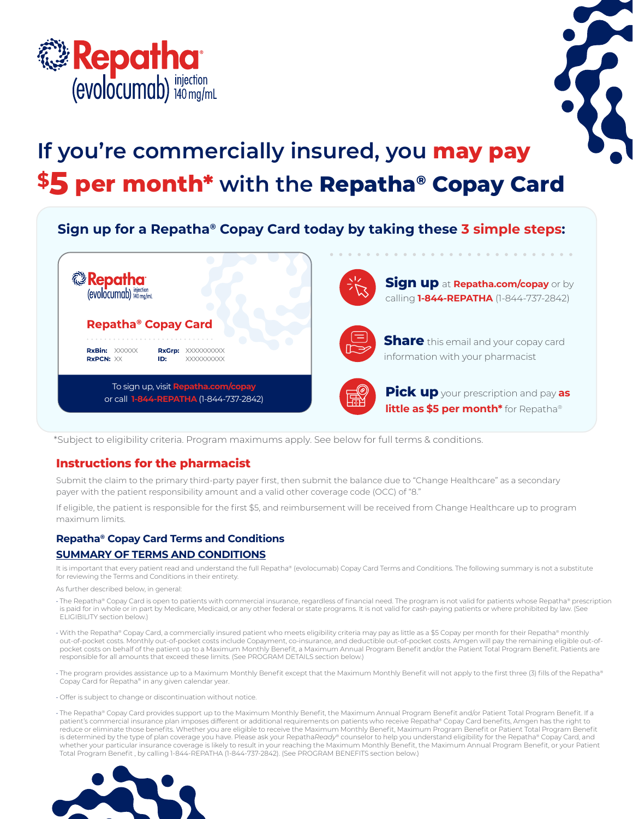



# **\$5 per month\* with the Repatha® Copay Card If you're commercially insured, you may pay**

## **Sign up for a Repatha® Copay Card today by taking these 3 simple steps:**



\*Subject to eligibility criteria. Program maximums apply. See below for full terms & conditions.

### **Instructions for the pharmacist**

Submit the claim to the primary third-party payer first, then submit the balance due to "Change Healthcare" as a secondary payer with the patient responsibility amount and a valid other coverage code (OCC) of "8."

If eligible, the patient is responsible for the first \$5, and reimbursement will be received from Change Healthcare up to program maximum limits.

#### **Repatha® Copay Card Terms and Conditions**

#### **SUMMARY OF TERMS AND CONDITIONS**

It is important that every patient read and understand the full Repatha® (evolocumab) Copay Card Terms and Conditions. The following summary is not a substitute for reviewing the Terms and Conditions in their entirety.

As further described below, in general:

- The Repatha® Copay Card is open to patients with commercial insurance, regardless of financial need. The program is not valid for patients whose Repatha® prescription is paid for in whole or in part by Medicare, Medicaid, or any other federal or state programs. It is not valid for cash-paying patients or where prohibited by law. (See ELIGIBILITY section below.)
- With the Repatha® Copay Card, a commercially insured patient who meets eligibility criteria may pay as little as a \$5 Copay per month for their Repatha® monthly out-of-pocket costs. Monthly out-of-pocket costs include Copayment, co-insurance, and deductible out-of-pocket costs. Amgen will pay the remaining eligible out-ofpocket costs on behalf of the patient up to a Maximum Monthly Benefit, a Maximum Annual Program Benefit and/or the Patient Total Program Benefit. Patients are responsible for all amounts that exceed these limits. (See PROGRAM DETAILS section below.)
- The program provides assistance up to a Maximum Monthly Benefit except that the Maximum Monthly Benefit will not apply to the first three (3) fills of the Repatha® Copay Card for Repatha® in any given calendar year.
- Offer is subject to change or discontinuation without notice.
- The Repatha® Copay Card provides support up to the Maximum Monthly Benefit, the Maximum Annual Program Benefit and/or Patient Total Program Benefit. If a patient's commercial insurance plan imposes different or additional requirements on patients who receive Repatha® Copay Card benefits, Amgen has the right to reduce or eliminate those benefits. Whether you are eligible to receive the Maximum Monthly Benefit, Maximum Program Benefit or Patient Total Program Benefit is determined by the type of plan coverage you have. Please ask your Repatha*Ready*® counselor to help you understand eligibility for the Repatha® Copay Card, and whether your particular insurance coverage is likely to result in your reaching the Maximum Monthly Benefit, the Maximum Annual Program Benefit, or your Patient Total Program Benefit , by calling 1-844-REPATHA (1-844-737-2842). (See PROGRAM BENEFITS section below.)